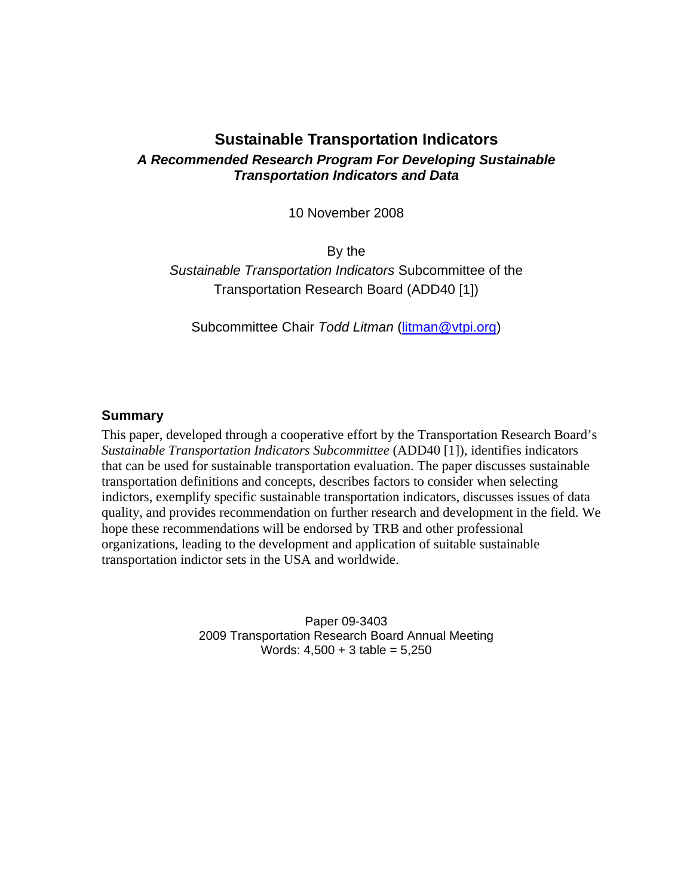# **Sustainable Transportation Indicators**  *A Recommended Research Program For Developing Sustainable Transportation Indicators and Data*

10 November 2008

By the *Sustainable Transportation Indicators* Subcommittee of the Transportation Research Board (ADD40 [1])

Subcommittee Chair *Todd Litman* (litman@vtpi.org)

#### **Summary**

This paper, developed through a cooperative effort by the Transportation Research Board's *Sustainable Transportation Indicators Subcommittee* (ADD40 [1]), identifies indicators that can be used for sustainable transportation evaluation. The paper discusses sustainable transportation definitions and concepts, describes factors to consider when selecting indictors, exemplify specific sustainable transportation indicators, discusses issues of data quality, and provides recommendation on further research and development in the field. We hope these recommendations will be endorsed by TRB and other professional organizations, leading to the development and application of suitable sustainable transportation indictor sets in the USA and worldwide.

> Paper 09-3403 2009 Transportation Research Board Annual Meeting Words:  $4,500 + 3$  table =  $5,250$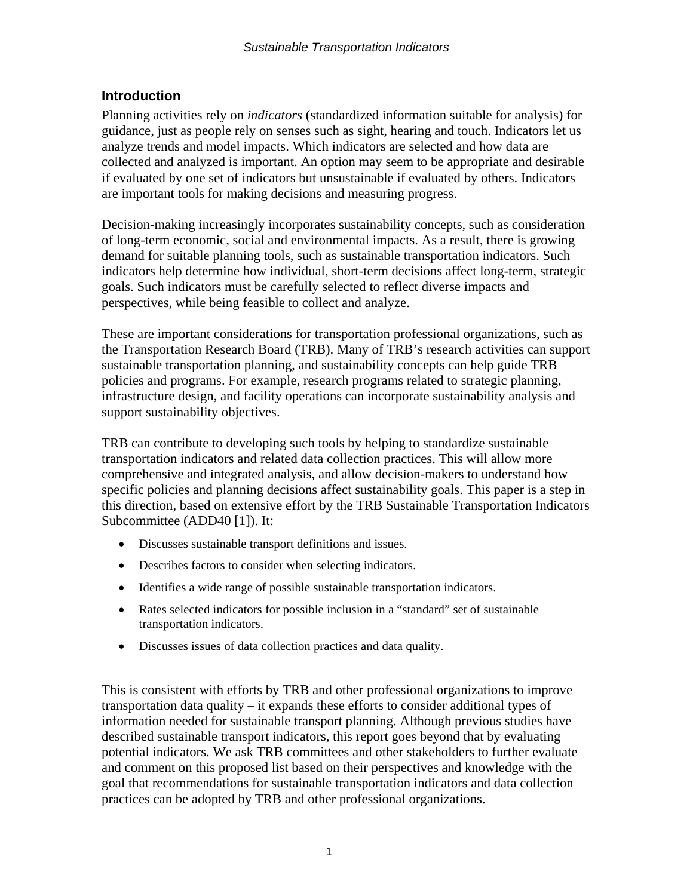## **Introduction**

Planning activities rely on *indicators* (standardized information suitable for analysis) for guidance, just as people rely on senses such as sight, hearing and touch. Indicators let us analyze trends and model impacts. Which indicators are selected and how data are collected and analyzed is important. An option may seem to be appropriate and desirable if evaluated by one set of indicators but unsustainable if evaluated by others. Indicators are important tools for making decisions and measuring progress.

Decision-making increasingly incorporates sustainability concepts, such as consideration of long-term economic, social and environmental impacts. As a result, there is growing demand for suitable planning tools, such as sustainable transportation indicators. Such indicators help determine how individual, short-term decisions affect long-term, strategic goals. Such indicators must be carefully selected to reflect diverse impacts and perspectives, while being feasible to collect and analyze.

These are important considerations for transportation professional organizations, such as the Transportation Research Board (TRB). Many of TRB's research activities can support sustainable transportation planning, and sustainability concepts can help guide TRB policies and programs. For example, research programs related to strategic planning, infrastructure design, and facility operations can incorporate sustainability analysis and support sustainability objectives.

TRB can contribute to developing such tools by helping to standardize sustainable transportation indicators and related data collection practices. This will allow more comprehensive and integrated analysis, and allow decision-makers to understand how specific policies and planning decisions affect sustainability goals. This paper is a step in this direction, based on extensive effort by the TRB Sustainable Transportation Indicators Subcommittee (ADD40 [1]). It:

- Discusses sustainable transport definitions and issues.
- Describes factors to consider when selecting indicators.
- Identifies a wide range of possible sustainable transportation indicators.
- Rates selected indicators for possible inclusion in a "standard" set of sustainable transportation indicators.
- Discusses issues of data collection practices and data quality.

This is consistent with efforts by TRB and other professional organizations to improve transportation data quality – it expands these efforts to consider additional types of information needed for sustainable transport planning. Although previous studies have described sustainable transport indicators, this report goes beyond that by evaluating potential indicators. We ask TRB committees and other stakeholders to further evaluate and comment on this proposed list based on their perspectives and knowledge with the goal that recommendations for sustainable transportation indicators and data collection practices can be adopted by TRB and other professional organizations.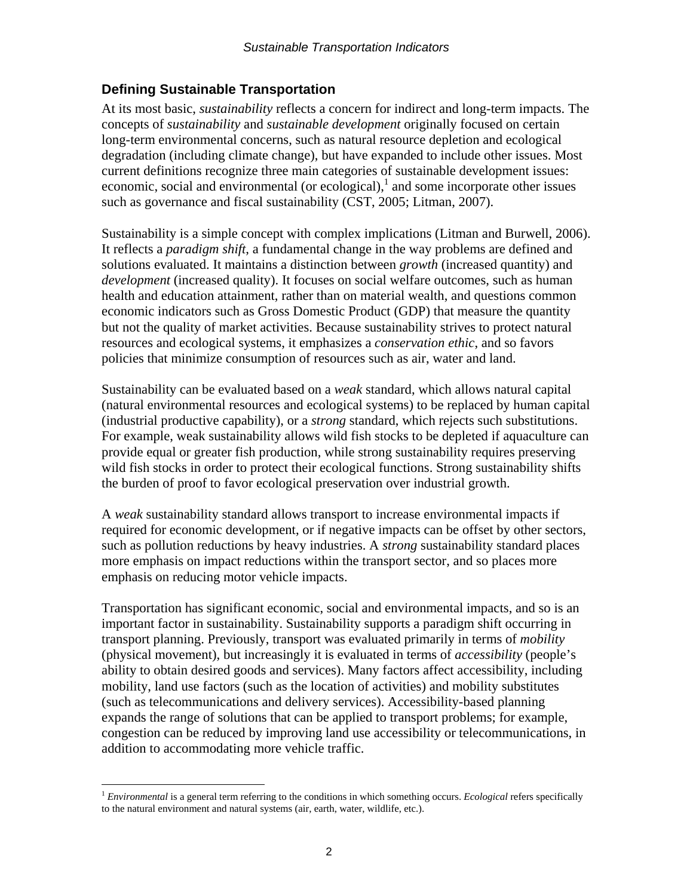## **Defining Sustainable Transportation**

At its most basic, *sustainability* reflects a concern for indirect and long-term impacts. The concepts of *sustainability* and *sustainable development* originally focused on certain long-term environmental concerns, such as natural resource depletion and ecological degradation (including climate change), but have expanded to include other issues. Most current definitions recognize three main categories of sustainable development issues: economic, social and environmental (or ecological), $<sup>1</sup>$  and some incorporate other issues</sup> such as governance and fiscal sustainability (CST, 2005; Litman, 2007).

Sustainability is a simple concept with complex implications (Litman and Burwell, 2006). It reflects a *paradigm shift*, a fundamental change in the way problems are defined and solutions evaluated. It maintains a distinction between *growth* (increased quantity) and *development* (increased quality). It focuses on social welfare outcomes, such as human health and education attainment, rather than on material wealth, and questions common economic indicators such as Gross Domestic Product (GDP) that measure the quantity but not the quality of market activities. Because sustainability strives to protect natural resources and ecological systems, it emphasizes a *conservation ethic*, and so favors policies that minimize consumption of resources such as air, water and land.

Sustainability can be evaluated based on a *weak* standard, which allows natural capital (natural environmental resources and ecological systems) to be replaced by human capital (industrial productive capability), or a *strong* standard, which rejects such substitutions. For example, weak sustainability allows wild fish stocks to be depleted if aquaculture can provide equal or greater fish production, while strong sustainability requires preserving wild fish stocks in order to protect their ecological functions. Strong sustainability shifts the burden of proof to favor ecological preservation over industrial growth.

A *weak* sustainability standard allows transport to increase environmental impacts if required for economic development, or if negative impacts can be offset by other sectors, such as pollution reductions by heavy industries. A *strong* sustainability standard places more emphasis on impact reductions within the transport sector, and so places more emphasis on reducing motor vehicle impacts.

Transportation has significant economic, social and environmental impacts, and so is an important factor in sustainability. Sustainability supports a paradigm shift occurring in transport planning. Previously, transport was evaluated primarily in terms of *mobility* (physical movement), but increasingly it is evaluated in terms of *accessibility* (people's ability to obtain desired goods and services). Many factors affect accessibility, including mobility, land use factors (such as the location of activities) and mobility substitutes (such as telecommunications and delivery services). Accessibility-based planning expands the range of solutions that can be applied to transport problems; for example, congestion can be reduced by improving land use accessibility or telecommunications, in addition to accommodating more vehicle traffic.

 $\overline{a}$ 

<sup>1</sup> *Environmental* is a general term referring to the conditions in which something occurs. *Ecological* refers specifically to the natural environment and natural systems (air, earth, water, wildlife, etc.).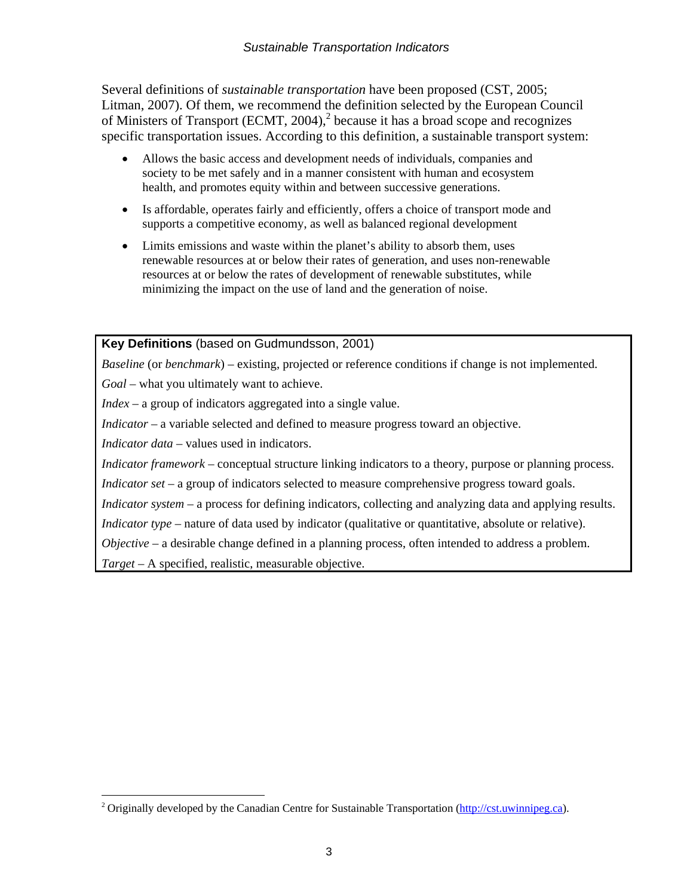#### *Sustainable Transportation Indicators*

Several definitions of *sustainable transportation* have been proposed (CST, 2005; Litman, 2007). Of them, we recommend the definition selected by the European Council of Ministers of Transport (ECMT, 2004), $^2$  because it has a broad scope and recognizes specific transportation issues. According to this definition, a sustainable transport system:

- Allows the basic access and development needs of individuals, companies and society to be met safely and in a manner consistent with human and ecosystem health, and promotes equity within and between successive generations.
- Is affordable, operates fairly and efficiently, offers a choice of transport mode and supports a competitive economy, as well as balanced regional development
- Limits emissions and waste within the planet's ability to absorb them, uses renewable resources at or below their rates of generation, and uses non-renewable resources at or below the rates of development of renewable substitutes, while minimizing the impact on the use of land and the generation of noise.

**Key Definitions** (based on Gudmundsson, 2001)

*Baseline* (or *benchmark*) – existing, projected or reference conditions if change is not implemented.

*Goal* – what you ultimately want to achieve.

*Index* – a group of indicators aggregated into a single value.

*Indicator* – a variable selected and defined to measure progress toward an objective.

*Indicator data* – values used in indicators.

 $\overline{a}$ 

*Indicator framework* – conceptual structure linking indicators to a theory, purpose or planning process.

*Indicator set* – a group of indicators selected to measure comprehensive progress toward goals.

*Indicator system* – a process for defining indicators, collecting and analyzing data and applying results.

*Indicator type* – nature of data used by indicator (qualitative or quantitative, absolute or relative).

*Objective* – a desirable change defined in a planning process, often intended to address a problem.

*Target* – A specified, realistic, measurable objective.

<sup>&</sup>lt;sup>2</sup> Originally developed by the Canadian Centre for Sustainable Transportation (http://cst.uwinnipeg.ca).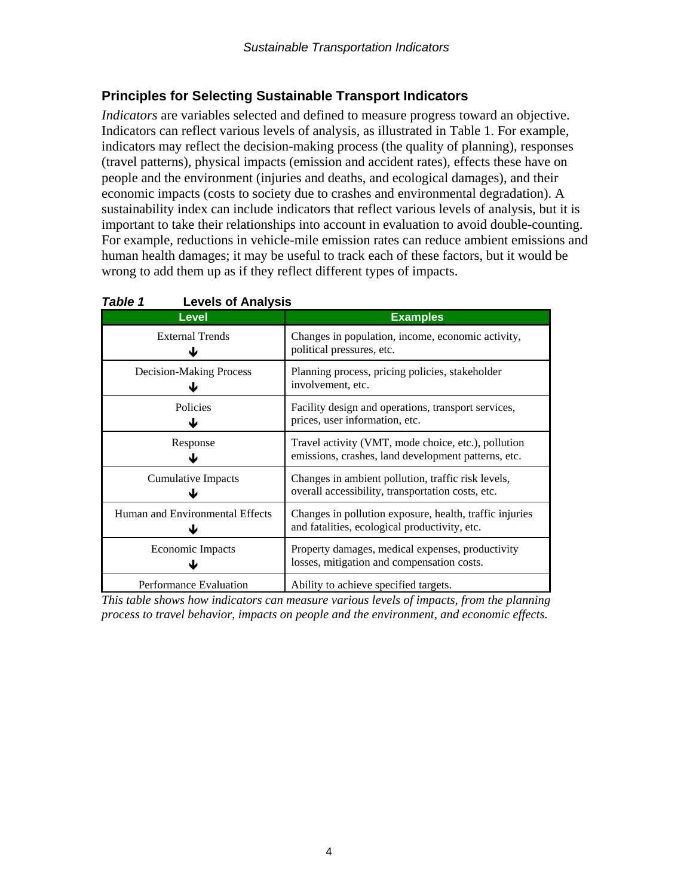# **Principles for Selecting Sustainable Transport Indicators**

*Indicators* are variables selected and defined to measure progress toward an objective. Indicators can reflect various levels of analysis, as illustrated in Table 1. For example, indicators may reflect the decision-making process (the quality of planning), responses (travel patterns), physical impacts (emission and accident rates), effects these have on people and the environment (injuries and deaths, and ecological damages), and their economic impacts (costs to society due to crashes and environmental degradation). A sustainability index can include indicators that reflect various levels of analysis, but it is important to take their relationships into account in evaluation to avoid double-counting. For example, reductions in vehicle-mile emission rates can reduce ambient emissions and human health damages; it may be useful to track each of these factors, but it would be wrong to add them up as if they reflect different types of impacts.

| <b>Level</b>                    | <b>Examples</b>                                                                                            |
|---------------------------------|------------------------------------------------------------------------------------------------------------|
| <b>External Trends</b>          | Changes in population, income, economic activity,<br>political pressures, etc.                             |
| <b>Decision-Making Process</b>  | Planning process, pricing policies, stakeholder<br>involvement, etc.                                       |
| <b>Policies</b>                 | Facility design and operations, transport services,<br>prices, user information, etc.                      |
| Response                        | Travel activity (VMT, mode choice, etc.), pollution<br>emissions, crashes, land development patterns, etc. |
| <b>Cumulative Impacts</b>       | Changes in ambient pollution, traffic risk levels,<br>overall accessibility, transportation costs, etc.    |
| Human and Environmental Effects | Changes in pollution exposure, health, traffic injuries<br>and fatalities, ecological productivity, etc.   |
| Economic Impacts                | Property damages, medical expenses, productivity<br>losses, mitigation and compensation costs.             |
| Performance Evaluation          | Ability to achieve specified targets.                                                                      |

| Table 1 | <b>Levels of Analysis</b> |
|---------|---------------------------|
|---------|---------------------------|

*This table shows how indicators can measure various levels of impacts, from the planning process to travel behavior, impacts on people and the environment, and economic effects.*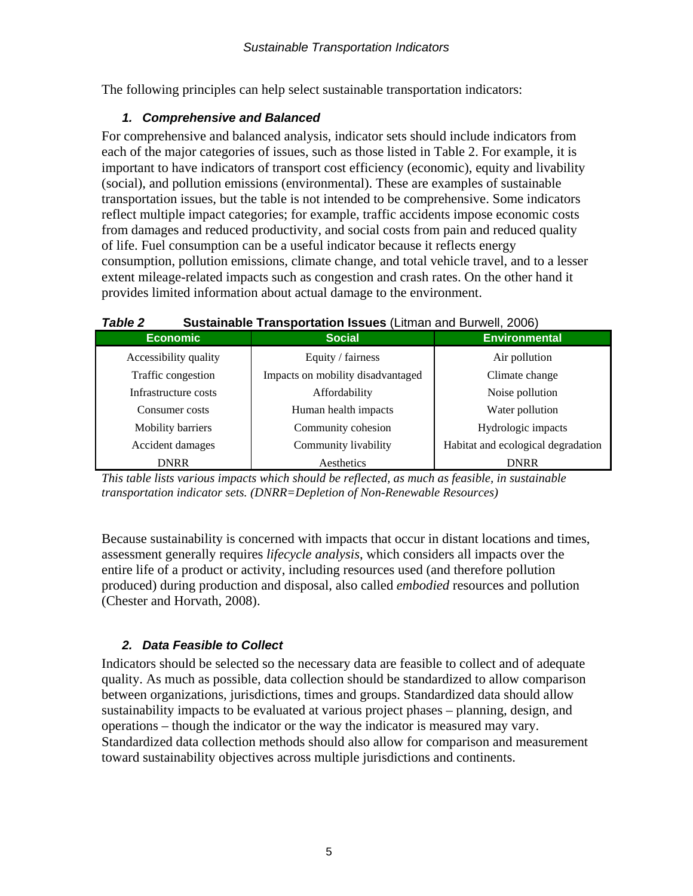The following principles can help select sustainable transportation indicators:

## *1. Comprehensive and Balanced*

For comprehensive and balanced analysis, indicator sets should include indicators from each of the major categories of issues, such as those listed in Table 2. For example, it is important to have indicators of transport cost efficiency (economic), equity and livability (social), and pollution emissions (environmental). These are examples of sustainable transportation issues, but the table is not intended to be comprehensive. Some indicators reflect multiple impact categories; for example, traffic accidents impose economic costs from damages and reduced productivity, and social costs from pain and reduced quality of life. Fuel consumption can be a useful indicator because it reflects energy consumption, pollution emissions, climate change, and total vehicle travel, and to a lesser extent mileage-related impacts such as congestion and crash rates. On the other hand it provides limited information about actual damage to the environment.

| <i>I UNIL L</i><br><u>Udstaniable Transportation issues</u> (Lithan and Darwell, 2000) |                                   |                                    |  |  |
|----------------------------------------------------------------------------------------|-----------------------------------|------------------------------------|--|--|
| <b>Economic</b>                                                                        | <b>Social</b>                     | <b>Environmental</b>               |  |  |
| Accessibility quality                                                                  | Equity / fairness                 | Air pollution                      |  |  |
| Traffic congestion                                                                     | Impacts on mobility disadvantaged | Climate change                     |  |  |
| Infrastructure costs                                                                   | Affordability                     | Noise pollution                    |  |  |
| Consumer costs                                                                         | Human health impacts              | Water pollution                    |  |  |
| Mobility barriers                                                                      | Community cohesion                | Hydrologic impacts                 |  |  |
| Accident damages                                                                       | Community livability              | Habitat and ecological degradation |  |  |
| <b>DNRR</b>                                                                            | Aesthetics                        | <b>DNRR</b>                        |  |  |

#### *Table 2* **Sustainable Transportation Issues** (Litman and Burwell, 2006)

*This table lists various impacts which should be reflected, as much as feasible, in sustainable transportation indicator sets. (DNRR=Depletion of Non-Renewable Resources)* 

Because sustainability is concerned with impacts that occur in distant locations and times, assessment generally requires *lifecycle analysis*, which considers all impacts over the entire life of a product or activity, including resources used (and therefore pollution produced) during production and disposal, also called *embodied* resources and pollution (Chester and Horvath, 2008).

# *2. Data Feasible to Collect*

Indicators should be selected so the necessary data are feasible to collect and of adequate quality. As much as possible, data collection should be standardized to allow comparison between organizations, jurisdictions, times and groups. Standardized data should allow sustainability impacts to be evaluated at various project phases – planning, design, and operations – though the indicator or the way the indicator is measured may vary. Standardized data collection methods should also allow for comparison and measurement toward sustainability objectives across multiple jurisdictions and continents.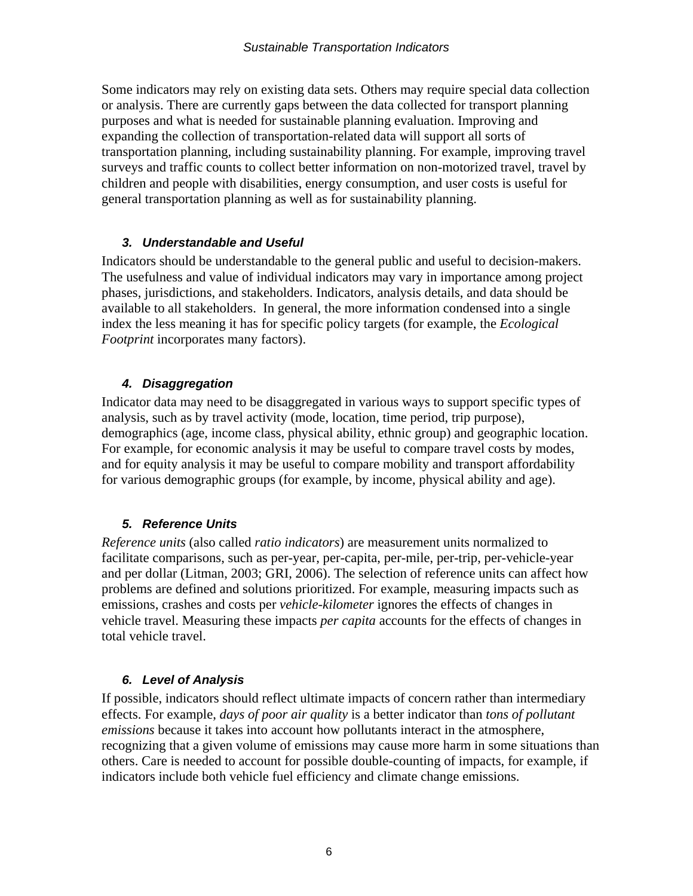Some indicators may rely on existing data sets. Others may require special data collection or analysis. There are currently gaps between the data collected for transport planning purposes and what is needed for sustainable planning evaluation. Improving and expanding the collection of transportation-related data will support all sorts of transportation planning, including sustainability planning. For example, improving travel surveys and traffic counts to collect better information on non-motorized travel, travel by children and people with disabilities, energy consumption, and user costs is useful for general transportation planning as well as for sustainability planning.

#### *3. Understandable and Useful*

Indicators should be understandable to the general public and useful to decision-makers. The usefulness and value of individual indicators may vary in importance among project phases, jurisdictions, and stakeholders. Indicators, analysis details, and data should be available to all stakeholders. In general, the more information condensed into a single index the less meaning it has for specific policy targets (for example, the *Ecological Footprint* incorporates many factors).

#### *4. Disaggregation*

Indicator data may need to be disaggregated in various ways to support specific types of analysis, such as by travel activity (mode, location, time period, trip purpose), demographics (age, income class, physical ability, ethnic group) and geographic location. For example, for economic analysis it may be useful to compare travel costs by modes, and for equity analysis it may be useful to compare mobility and transport affordability for various demographic groups (for example, by income, physical ability and age).

## *5. Reference Units*

*Reference units* (also called *ratio indicators*) are measurement units normalized to facilitate comparisons, such as per-year, per-capita, per-mile, per-trip, per-vehicle-year and per dollar (Litman, 2003; GRI, 2006). The selection of reference units can affect how problems are defined and solutions prioritized. For example, measuring impacts such as emissions, crashes and costs per *vehicle-kilometer* ignores the effects of changes in vehicle travel. Measuring these impacts *per capita* accounts for the effects of changes in total vehicle travel.

#### *6. Level of Analysis*

If possible, indicators should reflect ultimate impacts of concern rather than intermediary effects. For example, *days of poor air quality* is a better indicator than *tons of pollutant emissions* because it takes into account how pollutants interact in the atmosphere, recognizing that a given volume of emissions may cause more harm in some situations than others. Care is needed to account for possible double-counting of impacts, for example, if indicators include both vehicle fuel efficiency and climate change emissions.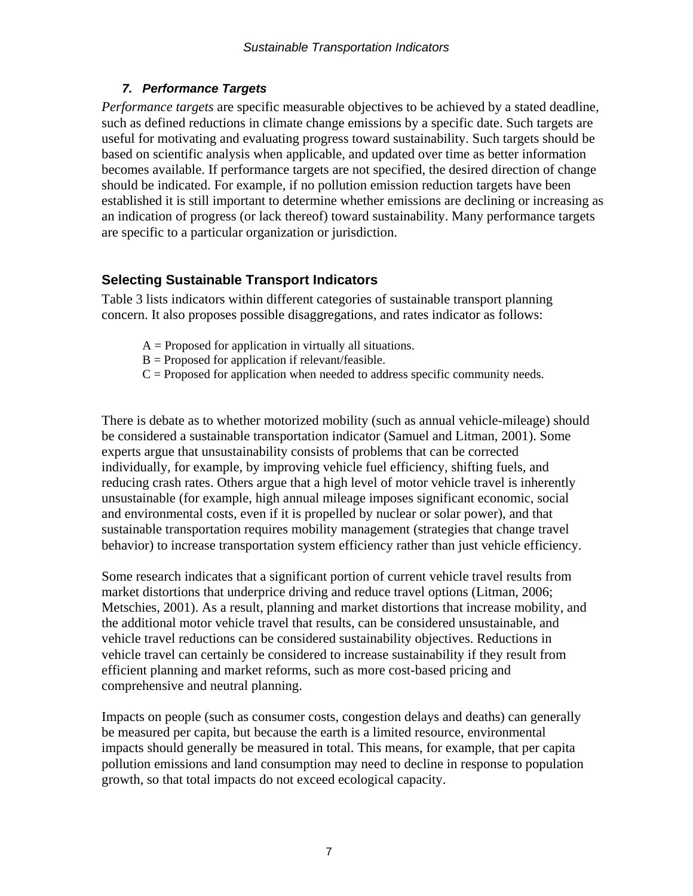## *7. Performance Targets*

*Performance targets* are specific measurable objectives to be achieved by a stated deadline, such as defined reductions in climate change emissions by a specific date. Such targets are useful for motivating and evaluating progress toward sustainability. Such targets should be based on scientific analysis when applicable, and updated over time as better information becomes available. If performance targets are not specified, the desired direction of change should be indicated. For example, if no pollution emission reduction targets have been established it is still important to determine whether emissions are declining or increasing as an indication of progress (or lack thereof) toward sustainability. Many performance targets are specific to a particular organization or jurisdiction.

## **Selecting Sustainable Transport Indicators**

Table 3 lists indicators within different categories of sustainable transport planning concern. It also proposes possible disaggregations, and rates indicator as follows:

- $A =$  Proposed for application in virtually all situations.
- $B =$  Proposed for application if relevant/feasible.
- $C =$  Proposed for application when needed to address specific community needs.

There is debate as to whether motorized mobility (such as annual vehicle-mileage) should be considered a sustainable transportation indicator (Samuel and Litman, 2001). Some experts argue that unsustainability consists of problems that can be corrected individually, for example, by improving vehicle fuel efficiency, shifting fuels, and reducing crash rates. Others argue that a high level of motor vehicle travel is inherently unsustainable (for example, high annual mileage imposes significant economic, social and environmental costs, even if it is propelled by nuclear or solar power), and that sustainable transportation requires mobility management (strategies that change travel behavior) to increase transportation system efficiency rather than just vehicle efficiency.

Some research indicates that a significant portion of current vehicle travel results from market distortions that underprice driving and reduce travel options (Litman, 2006; Metschies, 2001). As a result, planning and market distortions that increase mobility, and the additional motor vehicle travel that results, can be considered unsustainable, and vehicle travel reductions can be considered sustainability objectives. Reductions in vehicle travel can certainly be considered to increase sustainability if they result from efficient planning and market reforms, such as more cost-based pricing and comprehensive and neutral planning.

Impacts on people (such as consumer costs, congestion delays and deaths) can generally be measured per capita, but because the earth is a limited resource, environmental impacts should generally be measured in total. This means, for example, that per capita pollution emissions and land consumption may need to decline in response to population growth, so that total impacts do not exceed ecological capacity.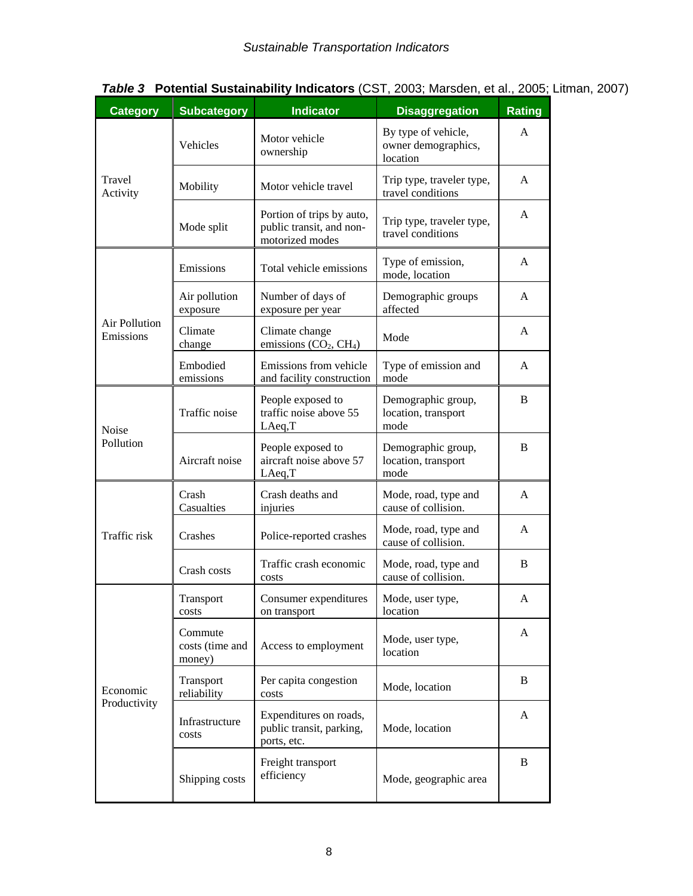| <b>Category</b>            | <b>Subcategory</b>                   | <b>Indicator</b>                                                         | <b>Disaggregation</b>                                  | <b>Rating</b> |
|----------------------------|--------------------------------------|--------------------------------------------------------------------------|--------------------------------------------------------|---------------|
| Travel<br>Activity         | Vehicles                             | Motor vehicle<br>ownership                                               | By type of vehicle,<br>owner demographics,<br>location | A             |
|                            | Mobility                             | Motor vehicle travel                                                     | Trip type, traveler type,<br>travel conditions         | A             |
|                            | Mode split                           | Portion of trips by auto,<br>public transit, and non-<br>motorized modes | Trip type, traveler type,<br>travel conditions         | A             |
| Air Pollution<br>Emissions | Emissions                            | Total vehicle emissions                                                  | Type of emission,<br>mode, location                    | A             |
|                            | Air pollution<br>exposure            | Number of days of<br>exposure per year                                   | Demographic groups<br>affected                         | A             |
|                            | Climate<br>change                    | Climate change<br>emissions $(CO_2, CH_4)$                               | Mode                                                   | A             |
|                            | Embodied<br>emissions                | Emissions from vehicle<br>and facility construction                      | Type of emission and<br>mode                           | A             |
| Noise<br>Pollution         | Traffic noise                        | People exposed to<br>traffic noise above 55<br>LAeq,T                    | Demographic group,<br>location, transport<br>mode      | B             |
|                            | Aircraft noise                       | People exposed to<br>aircraft noise above 57<br>LAeq,T                   | Demographic group,<br>location, transport<br>mode      | B             |
| Traffic risk               | Crash<br>Casualties                  | Crash deaths and<br>injuries                                             | Mode, road, type and<br>cause of collision.            | A             |
|                            | Crashes                              | Police-reported crashes                                                  | Mode, road, type and<br>cause of collision.            | A             |
|                            | Crash costs                          | Traffic crash economic<br>costs                                          | Mode, road, type and<br>cause of collision.            | B             |
| Economic<br>Productivity   | Transport<br>costs                   | Consumer expenditures<br>on transport                                    | Mode, user type,<br>location                           | A             |
|                            | Commute<br>costs (time and<br>money) | Access to employment                                                     | Mode, user type,<br>location                           | A             |
|                            | Transport<br>reliability             | Per capita congestion<br>costs                                           | Mode, location                                         | B             |
|                            | Infrastructure<br>costs              | Expenditures on roads,<br>public transit, parking,<br>ports, etc.        | Mode, location                                         | A             |
|                            | Shipping costs                       | Freight transport<br>efficiency                                          | Mode, geographic area                                  | B             |

# *Table 3* **Potential Sustainability Indicators** (CST, 2003; Marsden, et al., 2005; Litman, 2007)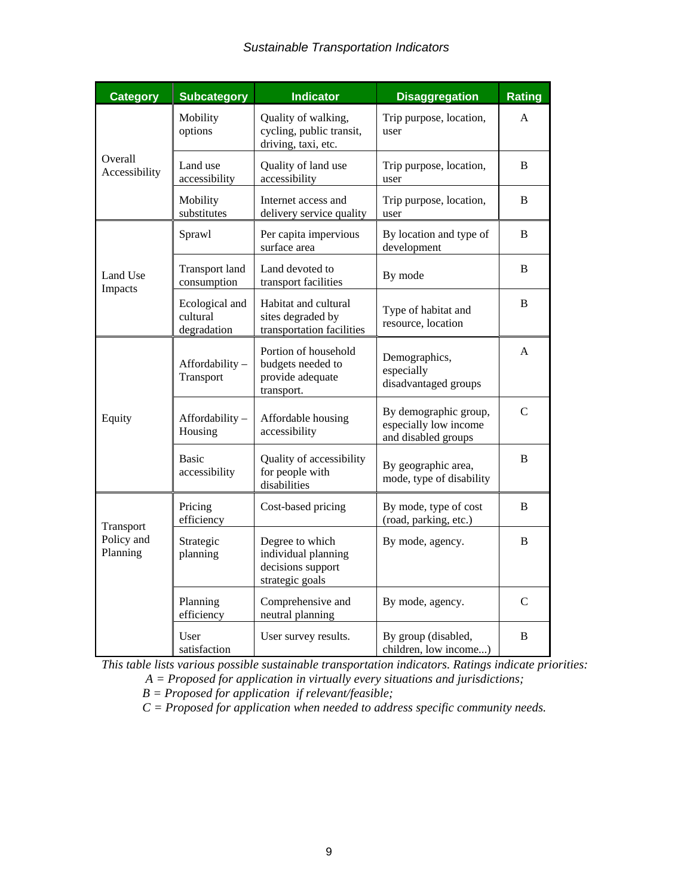#### *Sustainable Transportation Indicators*

| <b>Category</b>                     | <b>Subcategory</b>                        | <b>Indicator</b>                                                               | <b>Disaggregation</b>                                                 | <b>Rating</b>  |
|-------------------------------------|-------------------------------------------|--------------------------------------------------------------------------------|-----------------------------------------------------------------------|----------------|
| Overall<br>Accessibility            | Mobility<br>options                       | Quality of walking,<br>cycling, public transit,<br>driving, taxi, etc.         | Trip purpose, location,<br>user                                       | A              |
|                                     | Land use<br>accessibility                 | Quality of land use<br>accessibility                                           | Trip purpose, location,<br>user                                       | B              |
|                                     | Mobility<br>substitutes                   | Internet access and<br>delivery service quality                                | Trip purpose, location,<br>user                                       | B              |
| Land Use<br>Impacts                 | Sprawl                                    | Per capita impervious<br>surface area                                          | By location and type of<br>development                                | B              |
|                                     | <b>Transport land</b><br>consumption      | Land devoted to<br>transport facilities                                        | By mode                                                               | B              |
|                                     | Ecological and<br>cultural<br>degradation | Habitat and cultural<br>sites degraded by<br>transportation facilities         | Type of habitat and<br>resource, location                             | B              |
| Equity                              | Affordability-<br>Transport               | Portion of household<br>budgets needed to<br>provide adequate<br>transport.    | Demographics,<br>especially<br>disadvantaged groups                   | A              |
|                                     | Affordability-<br>Housing                 | Affordable housing<br>accessibility                                            | By demographic group,<br>especially low income<br>and disabled groups | C              |
|                                     | <b>Basic</b><br>accessibility             | Quality of accessibility<br>for people with<br>disabilities                    | By geographic area,<br>mode, type of disability                       | B              |
| Transport<br>Policy and<br>Planning | Pricing<br>efficiency                     | Cost-based pricing                                                             | By mode, type of cost<br>(road, parking, etc.)                        | B              |
|                                     | Strategic<br>planning                     | Degree to which<br>individual planning<br>decisions support<br>strategic goals | By mode, agency.                                                      | B              |
|                                     | Planning<br>efficiency                    | Comprehensive and<br>neutral planning                                          | By mode, agency.                                                      | $\overline{C}$ |
|                                     | User<br>satisfaction                      | User survey results.                                                           | By group (disabled,<br>children, low income)                          | B              |

*This table lists various possible sustainable transportation indicators. Ratings indicate priorities:* 

 *A = Proposed for application in virtually every situations and jurisdictions;* 

*B = Proposed for application if relevant/feasible;* 

*C = Proposed for application when needed to address specific community needs.*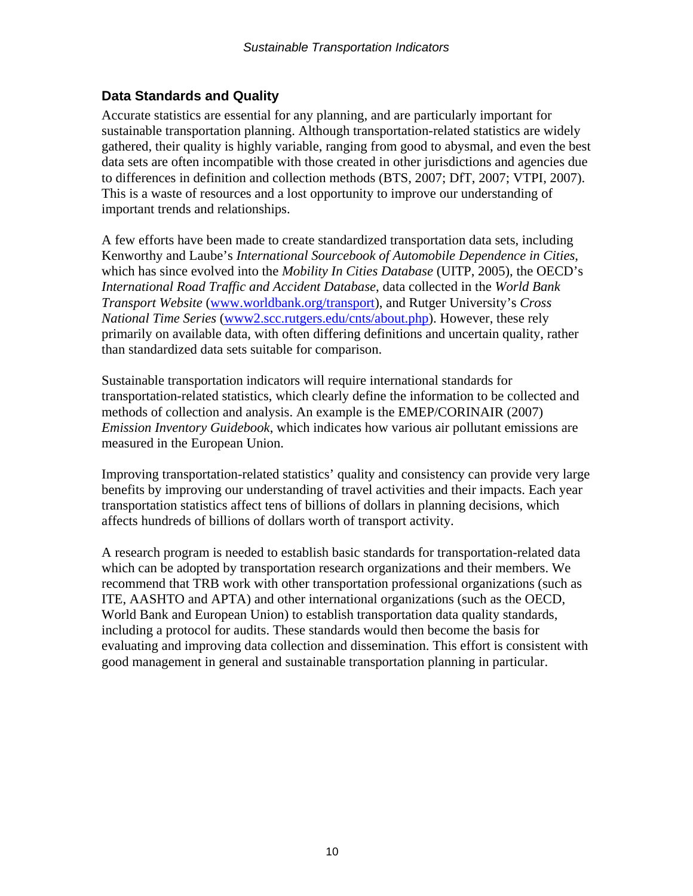## **Data Standards and Quality**

Accurate statistics are essential for any planning, and are particularly important for sustainable transportation planning. Although transportation-related statistics are widely gathered, their quality is highly variable, ranging from good to abysmal, and even the best data sets are often incompatible with those created in other jurisdictions and agencies due to differences in definition and collection methods (BTS, 2007; DfT, 2007; VTPI, 2007). This is a waste of resources and a lost opportunity to improve our understanding of important trends and relationships.

A few efforts have been made to create standardized transportation data sets, including Kenworthy and Laube's *International Sourcebook of Automobile Dependence in Cities*, which has since evolved into the *Mobility In Cities Database* (UITP, 2005), the OECD's *International Road Traffic and Accident Database*, data collected in the *World Bank Transport Website* (www.worldbank.org/transport), and Rutger University's *Cross National Time Series* (www2.scc.rutgers.edu/cnts/about.php). However, these rely primarily on available data, with often differing definitions and uncertain quality, rather than standardized data sets suitable for comparison.

Sustainable transportation indicators will require international standards for transportation-related statistics, which clearly define the information to be collected and methods of collection and analysis. An example is the EMEP/CORINAIR (2007) *Emission Inventory Guidebook*, which indicates how various air pollutant emissions are measured in the European Union.

Improving transportation-related statistics' quality and consistency can provide very large benefits by improving our understanding of travel activities and their impacts. Each year transportation statistics affect tens of billions of dollars in planning decisions, which affects hundreds of billions of dollars worth of transport activity.

A research program is needed to establish basic standards for transportation-related data which can be adopted by transportation research organizations and their members. We recommend that TRB work with other transportation professional organizations (such as ITE, AASHTO and APTA) and other international organizations (such as the OECD, World Bank and European Union) to establish transportation data quality standards, including a protocol for audits. These standards would then become the basis for evaluating and improving data collection and dissemination. This effort is consistent with good management in general and sustainable transportation planning in particular.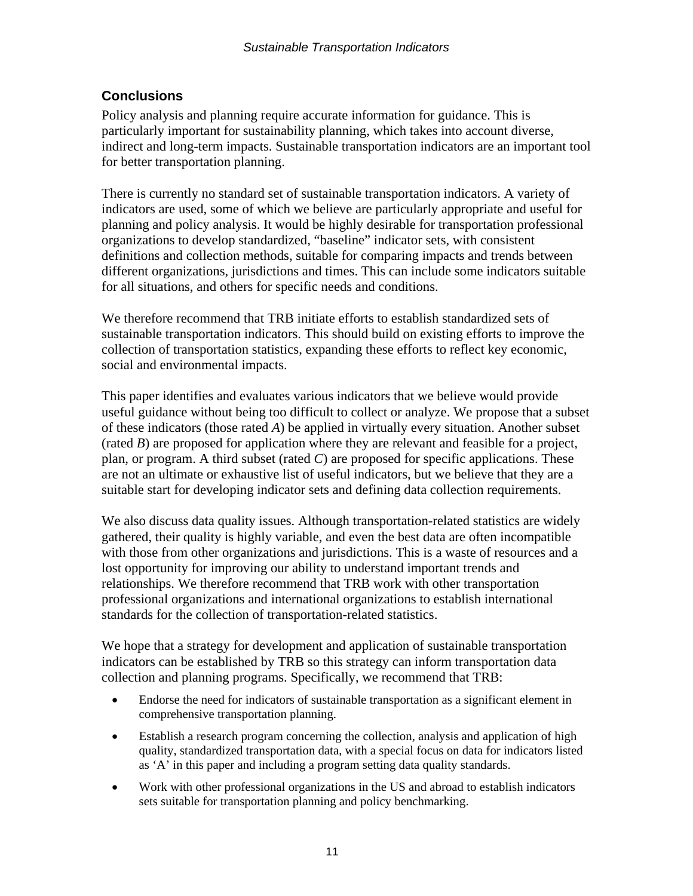# **Conclusions**

Policy analysis and planning require accurate information for guidance. This is particularly important for sustainability planning, which takes into account diverse, indirect and long-term impacts. Sustainable transportation indicators are an important tool for better transportation planning.

There is currently no standard set of sustainable transportation indicators. A variety of indicators are used, some of which we believe are particularly appropriate and useful for planning and policy analysis. It would be highly desirable for transportation professional organizations to develop standardized, "baseline" indicator sets, with consistent definitions and collection methods, suitable for comparing impacts and trends between different organizations, jurisdictions and times. This can include some indicators suitable for all situations, and others for specific needs and conditions.

We therefore recommend that TRB initiate efforts to establish standardized sets of sustainable transportation indicators. This should build on existing efforts to improve the collection of transportation statistics, expanding these efforts to reflect key economic, social and environmental impacts.

This paper identifies and evaluates various indicators that we believe would provide useful guidance without being too difficult to collect or analyze. We propose that a subset of these indicators (those rated *A*) be applied in virtually every situation. Another subset (rated *B*) are proposed for application where they are relevant and feasible for a project, plan, or program. A third subset (rated *C*) are proposed for specific applications. These are not an ultimate or exhaustive list of useful indicators, but we believe that they are a suitable start for developing indicator sets and defining data collection requirements.

We also discuss data quality issues. Although transportation-related statistics are widely gathered, their quality is highly variable, and even the best data are often incompatible with those from other organizations and jurisdictions. This is a waste of resources and a lost opportunity for improving our ability to understand important trends and relationships. We therefore recommend that TRB work with other transportation professional organizations and international organizations to establish international standards for the collection of transportation-related statistics.

We hope that a strategy for development and application of sustainable transportation indicators can be established by TRB so this strategy can inform transportation data collection and planning programs. Specifically, we recommend that TRB:

- Endorse the need for indicators of sustainable transportation as a significant element in comprehensive transportation planning.
- Establish a research program concerning the collection, analysis and application of high quality, standardized transportation data, with a special focus on data for indicators listed as 'A' in this paper and including a program setting data quality standards.
- Work with other professional organizations in the US and abroad to establish indicators sets suitable for transportation planning and policy benchmarking.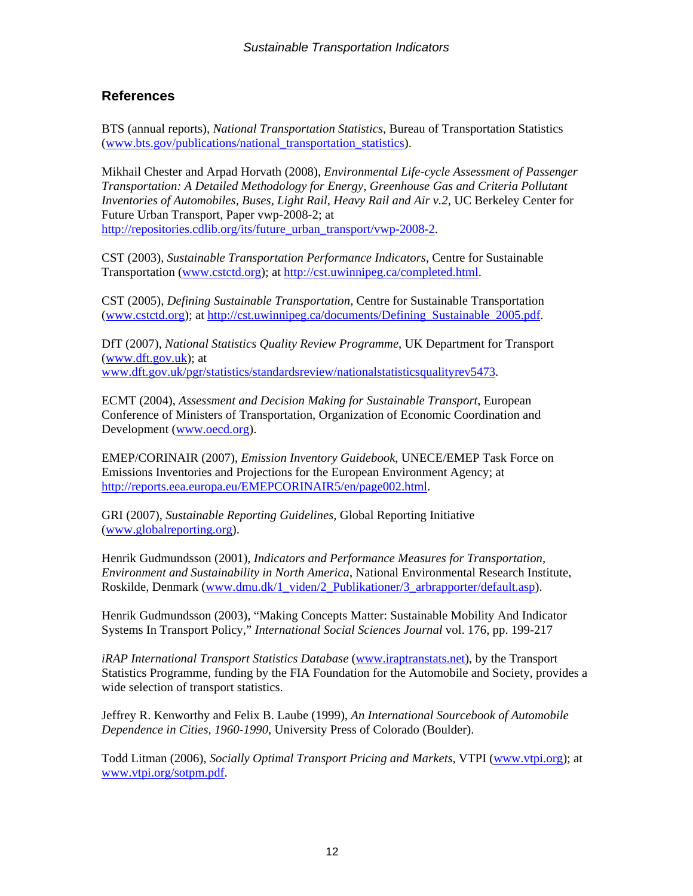## **References**

BTS (annual reports), *National Transportation Statistics*, Bureau of Transportation Statistics (www.bts.gov/publications/national\_transportation\_statistics).

Mikhail Chester and Arpad Horvath (2008), *Environmental Life-cycle Assessment of Passenger Transportation: A Detailed Methodology for Energy, Greenhouse Gas and Criteria Pollutant Inventories of Automobiles, Buses, Light Rail, Heavy Rail and Air v.2*, UC Berkeley Center for Future Urban Transport, Paper vwp-2008-2; at http://repositories.cdlib.org/its/future\_urban\_transport/vwp-2008-2.

CST (2003), *Sustainable Transportation Performance Indicators*, Centre for Sustainable Transportation (www.cstctd.org); at http://cst.uwinnipeg.ca/completed.html.

CST (2005), *Defining Sustainable Transportation*, Centre for Sustainable Transportation (www.cstctd.org); at http://cst.uwinnipeg.ca/documents/Defining\_Sustainable\_2005.pdf.

DfT (2007), *National Statistics Quality Review Programme*, UK Department for Transport (www.dft.gov.uk); at www.dft.gov.uk/pgr/statistics/standardsreview/nationalstatisticsqualityrev5473.

ECMT (2004), *Assessment and Decision Making for Sustainable Transport*, European Conference of Ministers of Transportation, Organization of Economic Coordination and Development (www.oecd.org).

EMEP/CORINAIR (2007), *Emission Inventory Guidebook*, UNECE/EMEP Task Force on Emissions Inventories and Projections for the European Environment Agency; at http://reports.eea.europa.eu/EMEPCORINAIR5/en/page002.html.

GRI (2007), *Sustainable Reporting Guidelines*, Global Reporting Initiative (www.globalreporting.org).

Henrik Gudmundsson (2001), *Indicators and Performance Measures for Transportation, Environment and Sustainability in North America*, National Environmental Research Institute, Roskilde, Denmark (www.dmu.dk/1\_viden/2\_Publikationer/3\_arbrapporter/default.asp).

Henrik Gudmundsson (2003), "Making Concepts Matter: Sustainable Mobility And Indicator Systems In Transport Policy," *International Social Sciences Journal* vol. 176, pp. 199-217

*iRAP International Transport Statistics Database* (www.iraptranstats.net), by the Transport Statistics Programme, funding by the FIA Foundation for the Automobile and Society, provides a wide selection of transport statistics.

Jeffrey R. Kenworthy and Felix B. Laube (1999), *An International Sourcebook of Automobile Dependence in Cities, 1960-1990*, University Press of Colorado (Boulder).

Todd Litman (2006), *Socially Optimal Transport Pricing and Markets*, VTPI (www.vtpi.org); at www.vtpi.org/sotpm.pdf.